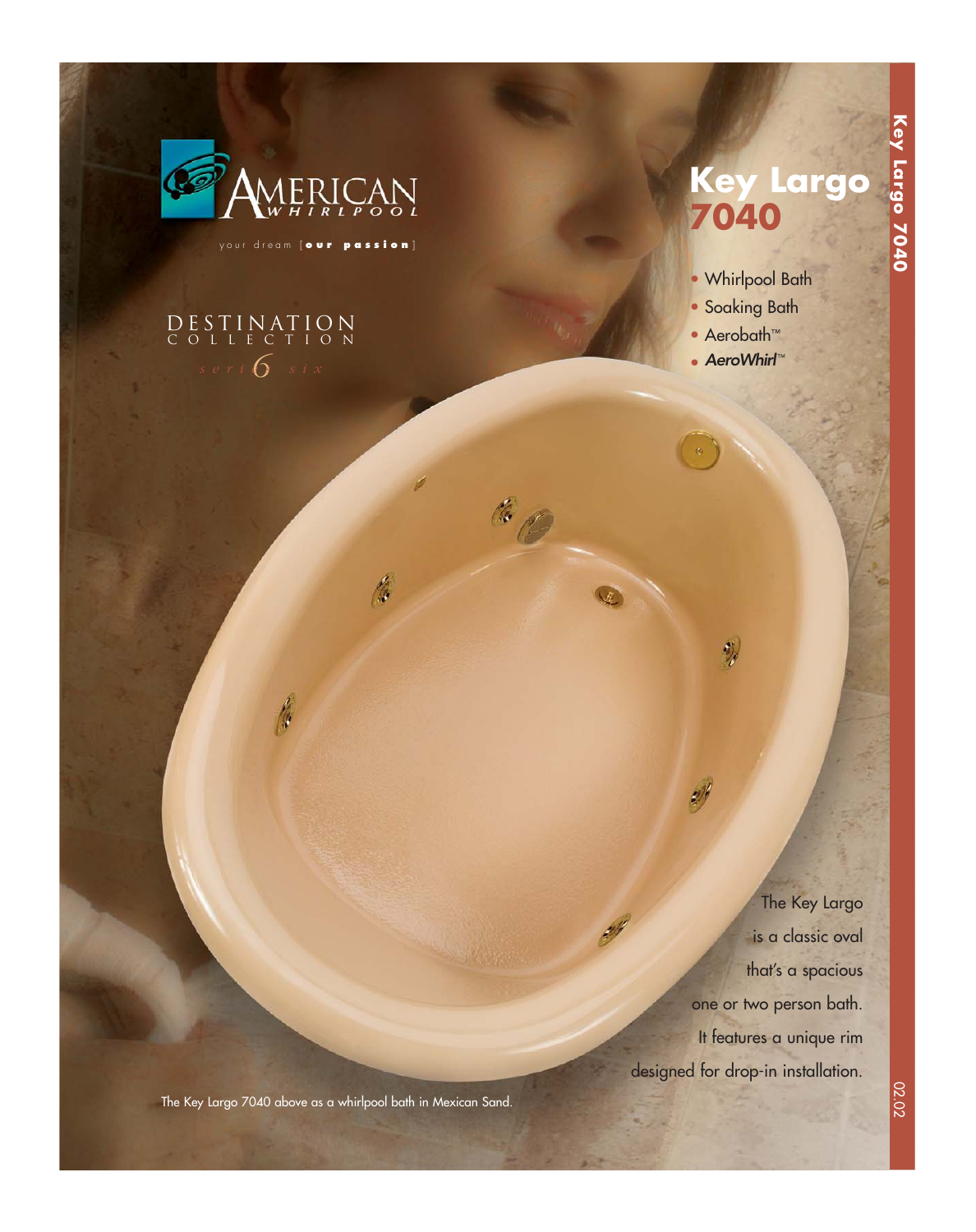

your dream [ **our passion** ]

f.

# $s$  eri  $6$  six DESTINATION COLLECTION

# **Key Largo 7040**

**Key Largo 7040**

Key Largo 7040

- Whirlpool Bath
- Soaking Bath
- Aerobath™
- AeroWhirl™

ł,

6

The Key Largo is a classic oval that's a spacious one or two person bath. It features a unique rim designed for drop-in installation.

The Key Largo 7040 above as a whirlpool bath in Mexican Sand.